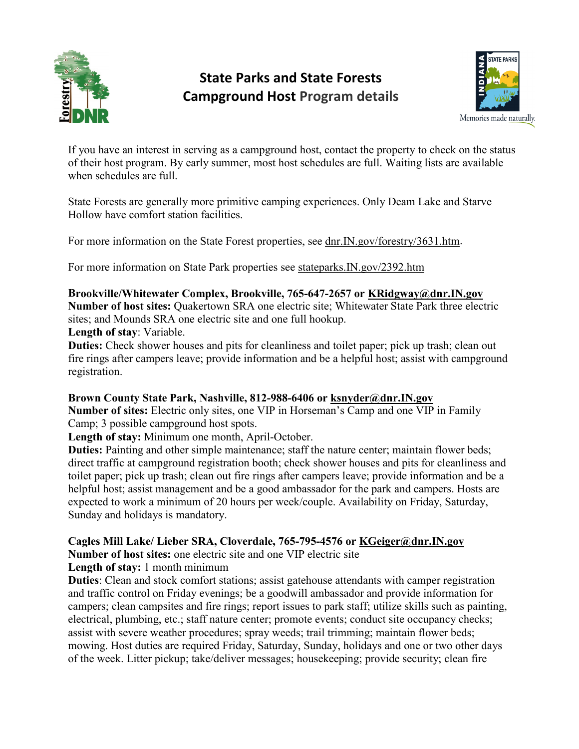

# **State Parks and State Forests Campground Host Program details**



If you have an interest in serving as a campground host, contact the property to check on the status of their host program. By early summer, most host schedules are full. Waiting lists are available when schedules are full.

State Forests are generally more primitive camping experiences. Only Deam Lake and Starve Hollow have comfort station facilities.

For more information on the State Forest properties, see dnr.IN.gov/forestry/3631.htm.

For more information on State Park properties see [stateparks.IN.gov/2392.htm](http://www.in.gov/dnr/parklake/2392.htm)

# **Brookville/Whitewater Complex, Brookville, 765-647-2657 or [KRidgway@dnr.IN.gov](mailto:KRidgway@dnr.IN.gov)**

**Number of host sites:** Quakertown SRA one electric site; Whitewater State Park three electric sites; and Mounds SRA one electric site and one full hookup.

**Length of stay**: Variable.

**Duties:** Check shower houses and pits for cleanliness and toilet paper; pick up trash; clean out fire rings after campers leave; provide information and be a helpful host; assist with campground registration.

# **Brown County State Park, Nashville, 812-988-6406 or [ksnyder@dnr.IN.gov](mailto:ksnyder@dnr.IN.gov)**

**Number of sites:** Electric only sites, one VIP in Horseman's Camp and one VIP in Family Camp; 3 possible campground host spots.

**Length of stay:** Minimum one month, April-October.

**Duties:** Painting and other simple maintenance; staff the nature center; maintain flower beds; direct traffic at campground registration booth; check shower houses and pits for cleanliness and toilet paper; pick up trash; clean out fire rings after campers leave; provide information and be a helpful host; assist management and be a good ambassador for the park and campers. Hosts are expected to work a minimum of 20 hours per week/couple. Availability on Friday, Saturday, Sunday and holidays is mandatory.

# **Cagles Mill Lake/ Lieber SRA, Cloverdale, 765-795-4576 or [KGeiger@dnr.IN.gov](mailto:KGeiger@dnr.IN.gov)**

**Number of host sites:** one electric site and one VIP electric site

**Length of stay:** 1 month minimum

**Duties**: Clean and stock comfort stations; assist gatehouse attendants with camper registration and traffic control on Friday evenings; be a goodwill ambassador and provide information for campers; clean campsites and fire rings; report issues to park staff; utilize skills such as painting, electrical, plumbing, etc.; staff nature center; promote events; conduct site occupancy checks; assist with severe weather procedures; spray weeds; trail trimming; maintain flower beds; mowing. Host duties are required Friday, Saturday, Sunday, holidays and one or two other days of the week. Litter pickup; take/deliver messages; housekeeping; provide security; clean fire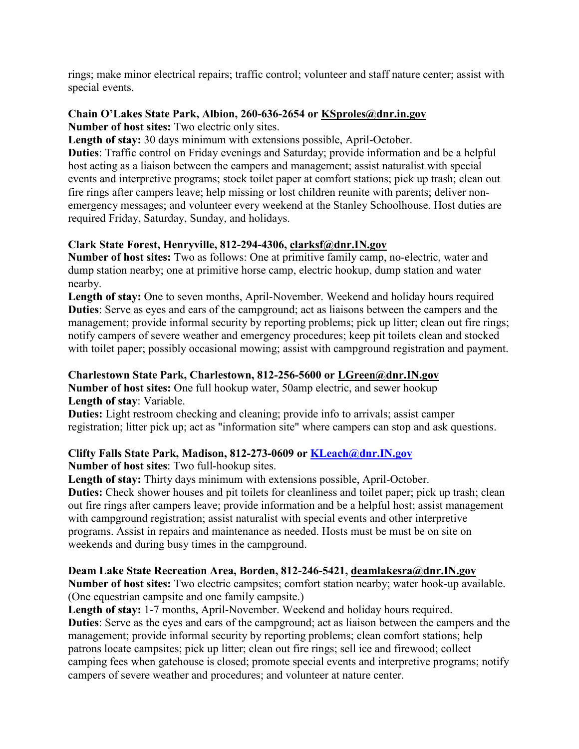rings; make minor electrical repairs; traffic control; volunteer and staff nature center; assist with special events.

# **Chain O'Lakes State Park, Albion, 260-636-2654 or [KSproles@dnr.in.gov](mailto:KSproles@dnr.in.gov)**

**Number of host sites:** Two electric only sites.

**Length of stay:** 30 days minimum with extensions possible, April-October.

**Duties**: Traffic control on Friday evenings and Saturday; provide information and be a helpful host acting as a liaison between the campers and management; assist naturalist with special events and interpretive programs; stock toilet paper at comfort stations; pick up trash; clean out fire rings after campers leave; help missing or lost children reunite with parents; deliver nonemergency messages; and volunteer every weekend at the Stanley Schoolhouse. Host duties are required Friday, Saturday, Sunday, and holidays.

# **Clark State Forest, Henryville, 812-294-4306, [clarksf@dnr.IN.gov](mailto:clarksf@dnr.IN.gov)**

**Number of host sites:** Two as follows: One at primitive family camp, no-electric, water and dump station nearby; one at primitive horse camp, electric hookup, dump station and water nearby.

Length of stay: One to seven months, April-November. Weekend and holiday hours required **Duties**: Serve as eyes and ears of the campground; act as liaisons between the campers and the management; provide informal security by reporting problems; pick up litter; clean out fire rings; notify campers of severe weather and emergency procedures; keep pit toilets clean and stocked with toilet paper; possibly occasional mowing; assist with campground registration and payment.

# **Charlestown State Park, Charlestown, 812-256-5600 or [LGreen@dnr.IN.gov](mailto:LGreen@dnr.IN.gov)**

**Number of host sites:** One full hookup water, 50amp electric, and sewer hookup **Length of stay**: Variable.

**Duties:** Light restroom checking and cleaning; provide info to arrivals; assist camper registration; litter pick up; act as "information site" where campers can stop and ask questions.

# **Clifty Falls State Park, Madison, 812-273-0609 or [KLeach@dnr.IN.gov](mailto:KLeach@dnr.IN.gov)**

**Number of host sites**: Two full-hookup sites.

**Length of stay:** Thirty days minimum with extensions possible, April-October.

**Duties:** Check shower houses and pit toilets for cleanliness and toilet paper; pick up trash; clean out fire rings after campers leave; provide information and be a helpful host; assist management with campground registration; assist naturalist with special events and other interpretive programs. Assist in repairs and maintenance as needed. Hosts must be must be on site on weekends and during busy times in the campground.

# **Deam Lake State Recreation Area, Borden, 812-246-5421, [deamlakesra@dnr.IN.gov](mailto:deamlakesra@dnr.IN.gov)**

**Number of host sites:** Two electric campsites; comfort station nearby; water hook-up available. (One equestrian campsite and one family campsite.)

**Length of stay:** 1-7 months, April-November. Weekend and holiday hours required. **Duties**: Serve as the eyes and ears of the campground; act as liaison between the campers and the management; provide informal security by reporting problems; clean comfort stations; help patrons locate campsites; pick up litter; clean out fire rings; sell ice and firewood; collect camping fees when gatehouse is closed; promote special events and interpretive programs; notify campers of severe weather and procedures; and volunteer at nature center.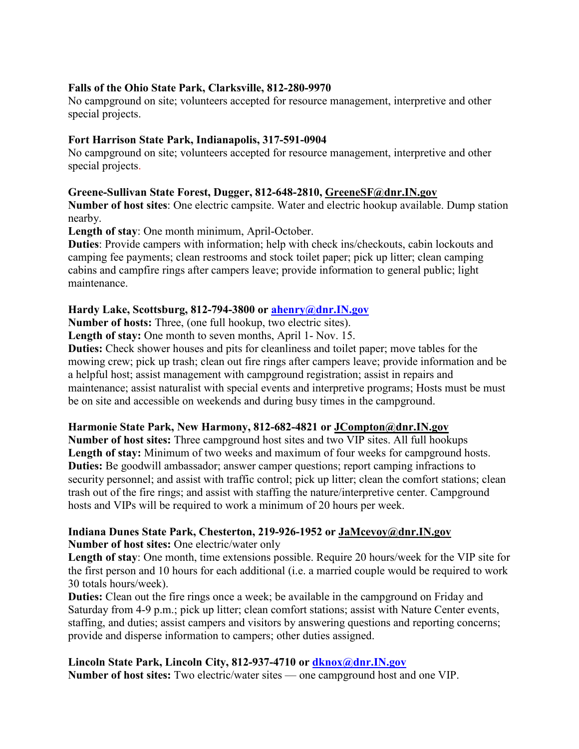#### **Falls of the Ohio State Park, Clarksville, 812-280-9970**

No campground on site; volunteers accepted for resource management, interpretive and other special projects.

#### **Fort Harrison State Park, Indianapolis, 317-591-0904**

No campground on site; volunteers accepted for resource management, interpretive and other special projects.

#### **Greene-Sullivan State Forest, Dugger, 812-648-2810, [GreeneSF@dnr.IN.gov](mailto:GreeneSF@dnr.IN.gov)**

**Number of host sites**: One electric campsite. Water and electric hookup available. Dump station nearby.

**Length of stay**: One month minimum, April-October.

**Duties**: Provide campers with information; help with check ins/checkouts, cabin lockouts and camping fee payments; clean restrooms and stock toilet paper; pick up litter; clean camping cabins and campfire rings after campers leave; provide information to general public; light maintenance.

#### **Hardy Lake, Scottsburg, 812-794-3800 or [ahenry@dnr.IN.gov](mailto:ahenry@dnr.IN.gov)**

**Number of hosts:** Three, (one full hookup, two electric sites).

Length of stay: One month to seven months, April 1- Nov. 15.

**Duties:** Check shower houses and pits for cleanliness and toilet paper; move tables for the mowing crew; pick up trash; clean out fire rings after campers leave; provide information and be a helpful host; assist management with campground registration; assist in repairs and maintenance; assist naturalist with special events and interpretive programs; Hosts must be must be on site and accessible on weekends and during busy times in the campground.

#### **Harmonie State Park, New Harmony, 812-682-4821 or [JCompton@dnr.IN.gov](mailto:JCompton@dnr.IN.gov)**

**Number of host sites:** Three campground host sites and two VIP sites. All full hookups Length of stay: Minimum of two weeks and maximum of four weeks for campground hosts. **Duties:** Be goodwill ambassador; answer camper questions; report camping infractions to security personnel; and assist with traffic control; pick up litter; clean the comfort stations; clean trash out of the fire rings; and assist with staffing the nature/interpretive center. Campground hosts and VIPs will be required to work a minimum of 20 hours per week.

#### **Indiana Dunes State Park, Chesterton, 219-926-1952 or [JaMcevoy@dnr.IN.gov](mailto:JaMcevoy@dnr.IN.gov) Number of host sites:** One electric/water only

**Length of stay**: One month, time extensions possible. Require 20 hours/week for the VIP site for the first person and 10 hours for each additional (i.e. a married couple would be required to work 30 totals hours/week).

**Duties:** Clean out the fire rings once a week; be available in the campground on Friday and Saturday from 4-9 p.m.; pick up litter; clean comfort stations; assist with Nature Center events, staffing, and duties; assist campers and visitors by answering questions and reporting concerns; provide and disperse information to campers; other duties assigned.

# **Lincoln State Park, Lincoln City, 812-937-4710 or [dknox@dnr.IN.gov](mailto:dknox@dnr.IN.gov)**

**Number of host sites:** Two electric/water sites — one campground host and one VIP.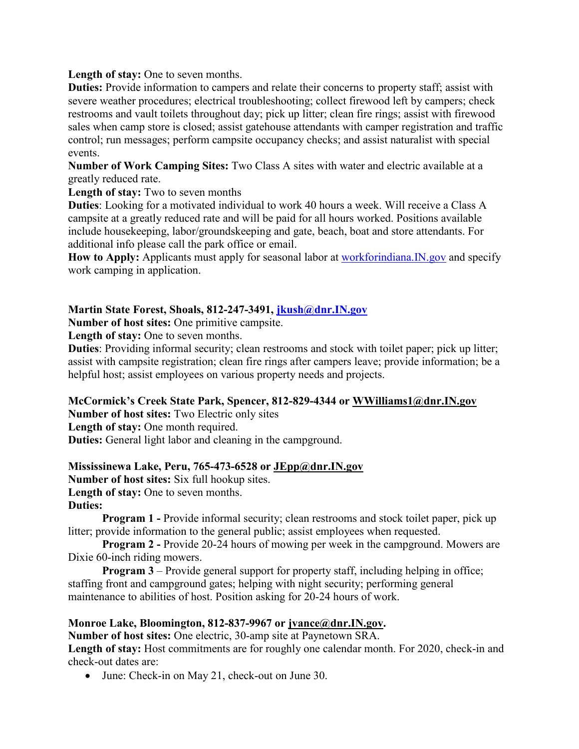Length of stay: One to seven months.

**Duties:** Provide information to campers and relate their concerns to property staff; assist with severe weather procedures; electrical troubleshooting; collect firewood left by campers; check restrooms and vault toilets throughout day; pick up litter; clean fire rings; assist with firewood sales when camp store is closed; assist gatehouse attendants with camper registration and traffic control; run messages; perform campsite occupancy checks; and assist naturalist with special events.

**Number of Work Camping Sites:** Two Class A sites with water and electric available at a greatly reduced rate.

**Length of stay:** Two to seven months

**Duties**: Looking for a motivated individual to work 40 hours a week. Will receive a Class A campsite at a greatly reduced rate and will be paid for all hours worked. Positions available include housekeeping, labor/groundskeeping and gate, beach, boat and store attendants. For additional info please call the park office or email.

How to Apply: Applicants must apply for seasonal labor at workforindiana. IN.gov and specify work camping in application.

**Martin State Forest, Shoals, 812-247-3491, [jkush@dnr.IN.gov](mailto:jkush@dnr.IN.gov)**

**Number of host sites:** One primitive campsite.

Length of stay: One to seven months.

**Duties**: Providing informal security; clean restrooms and stock with toilet paper; pick up litter; assist with campsite registration; clean fire rings after campers leave; provide information; be a helpful host; assist employees on various property needs and projects.

#### **McCormick's Creek State Park, Spencer, 812-829-4344 or [WWilliams1@dnr.IN.gov](mailto:WWilliams1@dnr.IN.gov)**

**Number of host sites:** Two Electric only sites

Length of stay: One month required.

**Duties:** General light labor and cleaning in the campground.

# **Mississinewa Lake, Peru, 765-473-6528 or [JEpp@dnr.IN.gov](mailto:JEpp@dnr.IN.gov)**

**Number of host sites:** Six full hookup sites. Length of stay: One to seven months. **Duties:** 

**Program 1 - Provide informal security; clean restrooms and stock toilet paper, pick up** litter; provide information to the general public; assist employees when requested.

**Program 2 -** Provide 20-24 hours of mowing per week in the campground. Mowers are Dixie 60-inch riding mowers.

**Program 3** – Provide general support for property staff, including helping in office; staffing front and campground gates; helping with night security; performing general maintenance to abilities of host. Position asking for 20-24 hours of work.

#### **Monroe Lake, Bloomington, 812-837-9967 or [jvance@dnr.IN.gov.](mailto:jvance@dnr.IN.gov)**

**Number of host sites:** One electric, 30-amp site at Paynetown SRA.

Length of stay: Host commitments are for roughly one calendar month. For 2020, check-in and check-out dates are:

• June: Check-in on May 21, check-out on June 30.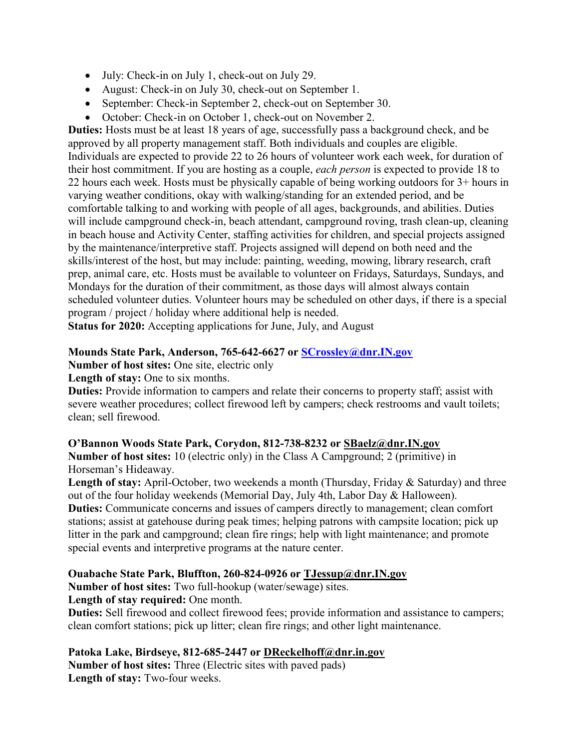- July: Check-in on July 1, check-out on July 29.
- August: Check-in on July 30, check-out on September 1.
- September: Check-in September 2, check-out on September 30.
- October: Check-in on October 1, check-out on November 2.

**Duties:** Hosts must be at least 18 years of age, successfully pass a background check, and be approved by all property management staff. Both individuals and couples are eligible. Individuals are expected to provide 22 to 26 hours of volunteer work each week, for duration of their host commitment. If you are hosting as a couple, *each person* is expected to provide 18 to 22 hours each week. Hosts must be physically capable of being working outdoors for 3+ hours in varying weather conditions, okay with walking/standing for an extended period, and be comfortable talking to and working with people of all ages, backgrounds, and abilities. Duties will include campground check-in, beach attendant, campground roving, trash clean-up, cleaning in beach house and Activity Center, staffing activities for children, and special projects assigned by the maintenance/interpretive staff. Projects assigned will depend on both need and the skills/interest of the host, but may include: painting, weeding, mowing, library research, craft prep, animal care, etc. Hosts must be available to volunteer on Fridays, Saturdays, Sundays, and Mondays for the duration of their commitment, as those days will almost always contain scheduled volunteer duties. Volunteer hours may be scheduled on other days, if there is a special program / project / holiday where additional help is needed.

**Status for 2020:** Accepting applications for June, July, and August

# **Mounds State Park, Anderson, 765-642-6627 or [SCrossley@dnr.IN.gov](mailto:SCrossley@dnr.IN.gov)**

**Number of host sites:** One site, electric only

Length of stay: One to six months.

**Duties:** Provide information to campers and relate their concerns to property staff; assist with severe weather procedures; collect firewood left by campers; check restrooms and vault toilets; clean; sell firewood.

# **O'Bannon Woods State Park, Corydon, 812-738-8232 or [SBaelz@dnr.IN.gov](mailto:SBaelz@dnr.IN.gov)**

**Number of host sites:** 10 (electric only) in the Class A Campground; 2 (primitive) in Horseman's Hideaway.

Length of stay: April-October, two weekends a month (Thursday, Friday & Saturday) and three out of the four holiday weekends (Memorial Day, July 4th, Labor Day & Halloween). **Duties:** Communicate concerns and issues of campers directly to management; clean comfort stations; assist at gatehouse during peak times; helping patrons with campsite location; pick up litter in the park and campground; clean fire rings; help with light maintenance; and promote special events and interpretive programs at the nature center.

# **Ouabache State Park, Bluffton, 260-824-0926 or [TJessup@dnr.IN.gov](mailto:TJessup@dnr.IN.gov)**

**Number of host sites:** Two full-hookup (water/sewage) sites.

**Length of stay required:** One month.

**Duties:** Sell firewood and collect firewood fees; provide information and assistance to campers; clean comfort stations; pick up litter; clean fire rings; and other light maintenance.

# **Patoka Lake, Birdseye, 812-685-2447 or [DReckelhoff@dnr.in.gov](mailto:DReckelhoff@dnr.in.gov)**

**Number of host sites:** Three (Electric sites with paved pads) **Length of stay:** Two-four weeks.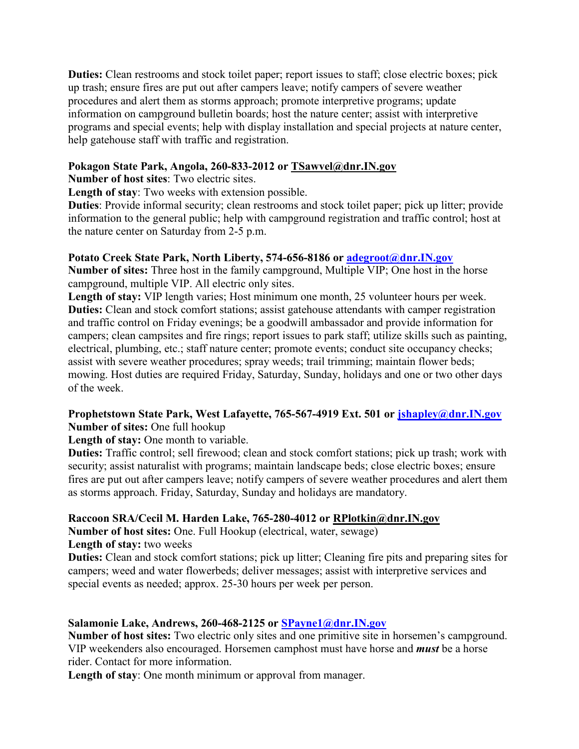**Duties:** Clean restrooms and stock toilet paper; report issues to staff; close electric boxes; pick up trash; ensure fires are put out after campers leave; notify campers of severe weather procedures and alert them as storms approach; promote interpretive programs; update information on campground bulletin boards; host the nature center; assist with interpretive programs and special events; help with display installation and special projects at nature center, help gatehouse staff with traffic and registration.

### **Pokagon State Park, Angola, 260-833-2012 or [TSawvel@dnr.IN.gov](mailto:TSawvel@dnr.IN.gov)**

**Number of host sites**: Two electric sites.

**Length of stay**: Two weeks with extension possible.

**Duties**: Provide informal security; clean restrooms and stock toilet paper; pick up litter; provide information to the general public; help with campground registration and traffic control; host at the nature center on Saturday from 2-5 p.m.

# **Potato Creek State Park, North Liberty, 574-656-8186 or [adegroot@dnr.IN.gov](mailto:adegroot@dnr.IN.gov)**

**Number of sites:** Three host in the family campground, Multiple VIP; One host in the horse campground, multiple VIP. All electric only sites.

**Length of stay:** VIP length varies; Host minimum one month, 25 volunteer hours per week. **Duties:** Clean and stock comfort stations; assist gatehouse attendants with camper registration and traffic control on Friday evenings; be a goodwill ambassador and provide information for campers; clean campsites and fire rings; report issues to park staff; utilize skills such as painting, electrical, plumbing, etc.; staff nature center; promote events; conduct site occupancy checks; assist with severe weather procedures; spray weeds; trail trimming; maintain flower beds; mowing. Host duties are required Friday, Saturday, Sunday, holidays and one or two other days of the week.

#### **Prophetstown State Park, West Lafayette, 765-567-4919 Ext. 501 or [jshapley@dnr.IN.gov](mailto:jshapley@dnr.IN.gov) Number of sites:** One full hookup

**Length of stay:** One month to variable.

**Duties:** Traffic control; sell firewood; clean and stock comfort stations; pick up trash; work with security; assist naturalist with programs; maintain landscape beds; close electric boxes; ensure fires are put out after campers leave; notify campers of severe weather procedures and alert them as storms approach. Friday, Saturday, Sunday and holidays are mandatory.

# **Raccoon SRA/Cecil M. Harden Lake, 765-280-4012 or [RPlotkin@dnr.IN.gov](mailto:RPlotkin@dnr.IN.gov)**

**Number of host sites:** One. Full Hookup (electrical, water, sewage)

#### **Length of stay:** two weeks

**Duties:** Clean and stock comfort stations; pick up litter; Cleaning fire pits and preparing sites for campers; weed and water flowerbeds; deliver messages; assist with interpretive services and special events as needed; approx. 25-30 hours per week per person.

# **Salamonie Lake, Andrews, 260-468-2125 or [SPayne1@dnr.IN.gov](mailto:SPayne1@dnr.IN.gov)**

**Number of host sites:** Two electric only sites and one primitive site in horsemen's campground. VIP weekenders also encouraged. Horsemen camphost must have horse and *must* be a horse rider. Contact for more information.

**Length of stay**: One month minimum or approval from manager.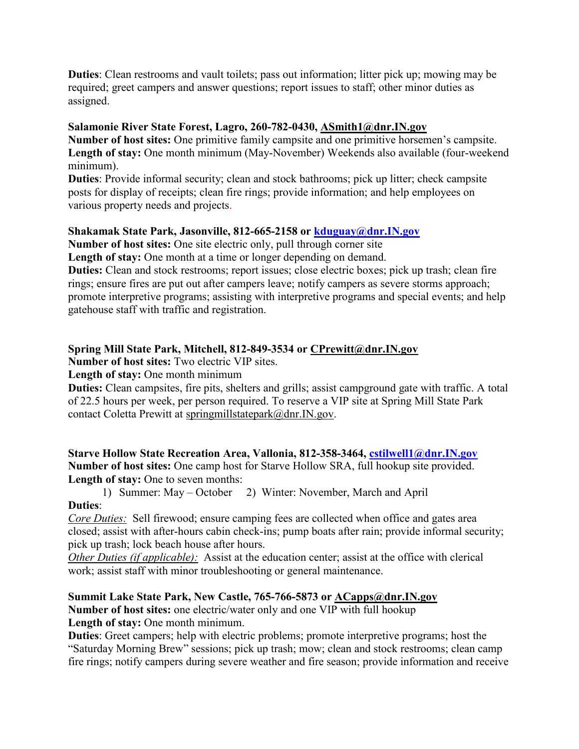**Duties**: Clean restrooms and vault toilets; pass out information; litter pick up; mowing may be required; greet campers and answer questions; report issues to staff; other minor duties as assigned.

# **Salamonie River State Forest, Lagro, 260-782-0430, [ASmith1@dnr.IN.gov](mailto:ASmith1@dnr.IN.gov)**

**Number of host sites:** One primitive family campsite and one primitive horsemen's campsite. **Length of stay:** One month minimum (May-November) Weekends also available (four-weekend minimum).

**Duties**: Provide informal security; clean and stock bathrooms; pick up litter; check campsite posts for display of receipts; clean fire rings; provide information; and help employees on various property needs and projects.

# **Shakamak State Park, Jasonville, 812-665-2158 or [kduguay@dnr.IN.gov](mailto:kduguay@dnr.IN.gov)**

**Number of host sites:** One site electric only, pull through corner site

Length of stay: One month at a time or longer depending on demand.

**Duties:** Clean and stock restrooms; report issues; close electric boxes; pick up trash; clean fire rings; ensure fires are put out after campers leave; notify campers as severe storms approach; promote interpretive programs; assisting with interpretive programs and special events; and help gatehouse staff with traffic and registration.

# **Spring Mill State Park, Mitchell, 812-849-3534 or [CPrewitt@dnr.IN.gov](mailto:CPrewitt@dnr.IN.gov)**

**Number of host sites:** Two electric VIP sites.

# Length of stay: One month minimum

**Duties:** Clean campsites, fire pits, shelters and grills; assist campground gate with traffic. A total of 22.5 hours per week, per person required. To reserve a VIP site at Spring Mill State Park contact Coletta Prewitt at [springmillstatepark@dnr.IN.gov.](mailto:springmillstatepark@dnr.IN.gov)

**Starve Hollow State Recreation Area, Vallonia, 812-358-3464, [cstilwell1@dnr.IN.gov](mailto:cstilwell1@dnr.IN.gov) Number of host sites:** One camp host for Starve Hollow SRA, full hookup site provided. Length of stay: One to seven months:

1) Summer: May – October 2) Winter: November, March and April

# **Duties**:

*Core Duties:* Sell firewood; ensure camping fees are collected when office and gates area closed; assist with after-hours cabin check-ins; pump boats after rain; provide informal security; pick up trash; lock beach house after hours.

*Other Duties (if applicable):* Assist at the education center; assist at the office with clerical work; assist staff with minor troubleshooting or general maintenance.

# **Summit Lake State Park, New Castle, 765-766-5873 or [ACapps@dnr.IN.gov](mailto:ACapps@dnr.IN.gov)**

**Number of host sites:** one electric/water only and one VIP with full hookup Length of stay: One month minimum.

**Duties**: Greet campers; help with electric problems; promote interpretive programs; host the "Saturday Morning Brew" sessions; pick up trash; mow; clean and stock restrooms; clean camp fire rings; notify campers during severe weather and fire season; provide information and receive